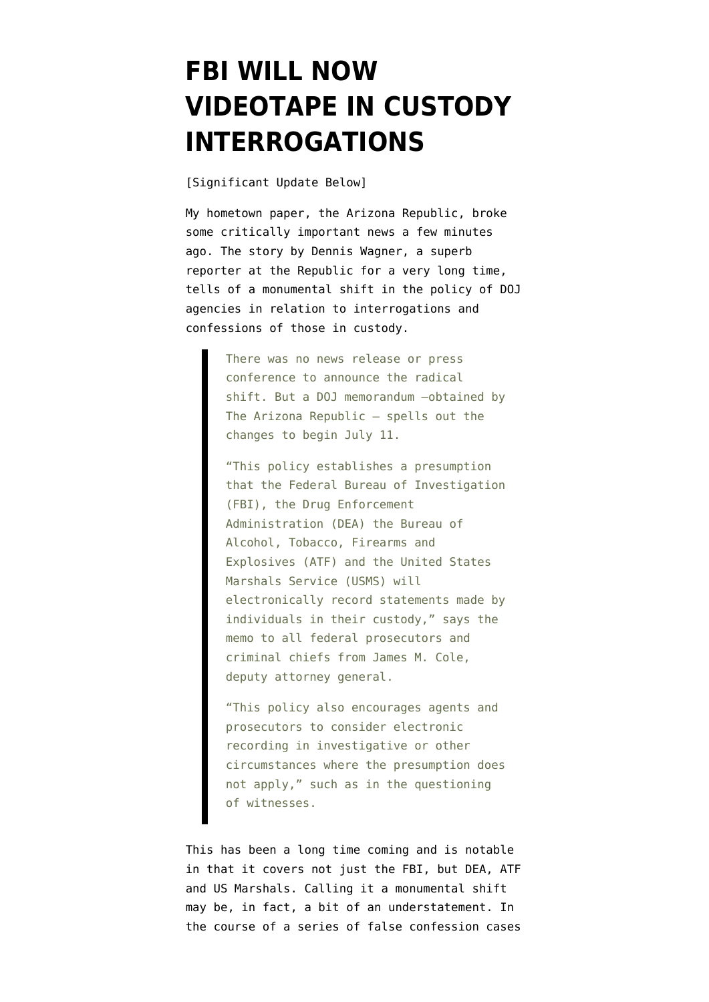## **[FBI WILL NOW](https://www.emptywheel.net/2014/05/21/fbi-will-now-videotape-in-custody-interrogations/) [VIDEOTAPE IN CUSTODY](https://www.emptywheel.net/2014/05/21/fbi-will-now-videotape-in-custody-interrogations/) [INTERROGATIONS](https://www.emptywheel.net/2014/05/21/fbi-will-now-videotape-in-custody-interrogations/)**

[Significant Update Below]

My hometown paper, the Arizona Republic, broke some critically important news a few minutes ago. [The story by Dennis Wagner,](http://www.azcentral.com/story/news/politics/2014/05/21/fbi-reverses-recording-policy-interrogations/9379211/) a superb reporter at the Republic for a very long time, tells of a monumental shift in the policy of DOJ agencies in relation to interrogations and confessions of those in custody.

> There was no news release or press conference to announce the radical shift. But a DOJ memorandum —obtained by The Arizona Republic — spells out the changes to begin July 11.

> "This policy establishes a presumption that the Federal Bureau of Investigation (FBI), the Drug Enforcement Administration (DEA) the Bureau of Alcohol, Tobacco, Firearms and Explosives (ATF) and the United States Marshals Service (USMS) will electronically record statements made by individuals in their custody," says the memo to all federal prosecutors and criminal chiefs from James M. Cole, deputy attorney general.

> "This policy also encourages agents and prosecutors to consider electronic recording in investigative or other circumstances where the presumption does not apply," such as in the questioning of witnesses.

This has been a long time coming and is notable in that it covers not just the FBI, but DEA, ATF and US Marshals. Calling it a monumental shift may be, in fact, a bit of an understatement. In the course of a series of false confession cases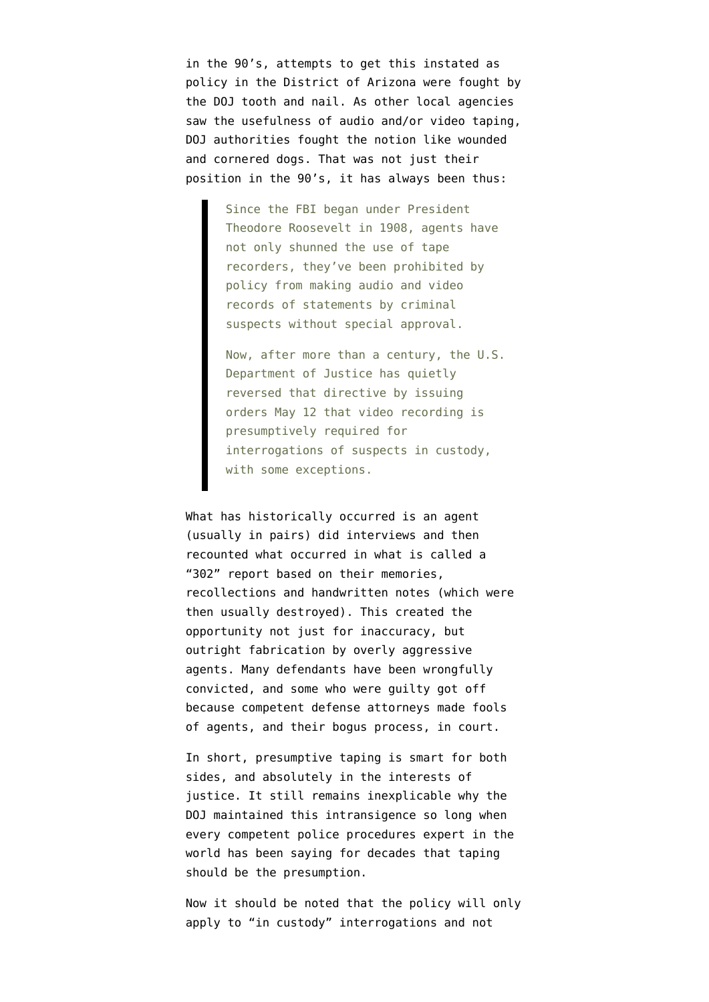in the 90's, attempts to get this instated as policy in the District of Arizona were fought by the DOJ tooth and nail. As other local agencies saw the usefulness of audio and/or video taping, DOJ authorities fought the notion like wounded and cornered dogs. That was not just their position in the 90's, it has always been thus:

> Since the FBI began under President Theodore Roosevelt in 1908, agents have not only shunned the use of tape recorders, they've been prohibited by policy from making audio and video records of statements by criminal suspects without special approval.

Now, after more than a century, the U.S. Department of Justice has quietly reversed that directive by issuing orders May 12 that video recording is presumptively required for interrogations of suspects in custody, with some exceptions.

What has historically occurred is an agent (usually in pairs) did interviews and then recounted what occurred in what is called a "302" report based on their memories, recollections and handwritten notes (which were then usually destroyed). This created the opportunity not just for inaccuracy, but outright fabrication by overly aggressive agents. Many defendants have been wrongfully convicted, and some who were guilty got off because competent defense attorneys made fools of agents, and their bogus process, in court.

In short, presumptive taping is smart for both sides, and absolutely in the interests of justice. It still remains inexplicable why the DOJ maintained this intransigence so long when every competent police procedures expert in the world has been saying for decades that taping should be the presumption.

Now it should be noted that the policy will only apply to "in custody" interrogations and not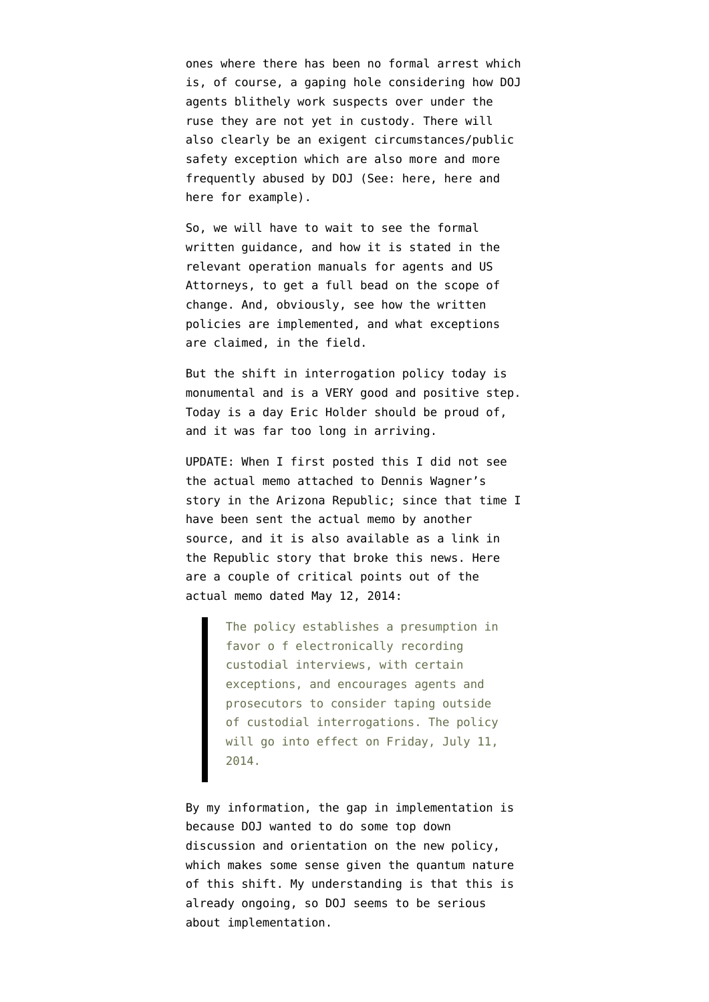ones where there has been no formal arrest which is, of course, a gaping hole considering how DOJ agents blithely work suspects over under the ruse they are not yet in custody. There will also clearly be an exigent circumstances/public safety exception which are also more and more frequently abused by DOJ (See: [here](http://www.emptywheel.net/2013/04/29/tsarnaev-right-to-counsel-not-miranda-is-the-key/), [here](http://www.emptywheel.net/2013/04/20/dzhokhar-tsaraev-the-big-issue-is-not-miranda-its-presentment/) and [here](http://www.emptywheel.net/2011/03/24/doj-betrays-constitution-judiciary-on-miranda/) for example).

So, we will have to wait to see the formal written guidance, and how it is stated in the relevant operation manuals for agents and US Attorneys, to get a full bead on the scope of change. And, obviously, see how the written policies are implemented, and what exceptions are claimed, in the field.

But the shift in interrogation policy today is monumental and is a VERY good and positive step. Today is a day Eric Holder should be proud of, and it was far too long in arriving.

UPDATE: When I first posted this I did not see the actual memo attached to Dennis Wagner's story in the Arizona Republic; since that time I have been sent the actual memo by another source, and it is also available as a link in the Republic story that broke this news. Here are a couple of critical points out of the [actual memo dated May 12, 2014:](http://www.emptywheel.net/wp-content/uploads/2014/05/DOJ-Interrogation-Memo.pdf)

> The policy establishes a presumption in favor o f electronically recording custodial interviews, with certain exceptions, and encourages agents and prosecutors to consider taping outside of custodial interrogations. The policy will go into effect on Friday, July 11, 2014.

By my information, the gap in implementation is because DOJ wanted to do some top down discussion and orientation on the new policy, which makes some sense given the quantum nature of this shift. My understanding is that this is already ongoing, so DOJ seems to be serious about implementation.